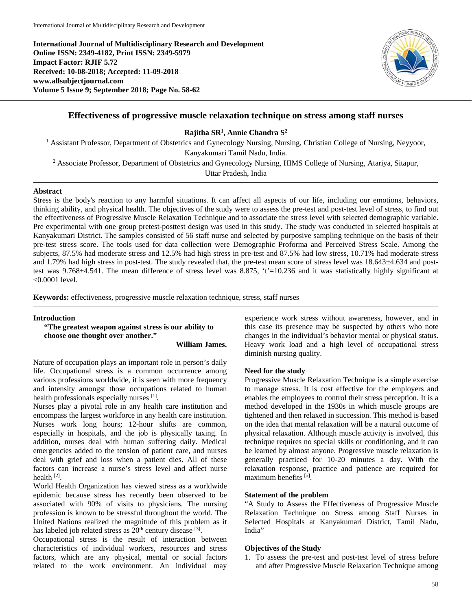**International Journal of Multidisciplinary Research and Development Online ISSN: 2349-4182, Print ISSN: 2349-5979 Impact Factor: RJIF 5.72 Received: 10-08-2018; Accepted: 11-09-2018 www.allsubjectjournal.com Volume 5 Issue 9; September 2018; Page No. 58-62**



# **Effectiveness of progressive muscle relaxation technique on stress among staff nurses**

**Rajitha SR1 , Annie Chandra S2**

<sup>1</sup> Assistant Professor, Department of Obstetrics and Gynecology Nursing, Nursing, Christian College of Nursing, Neyyoor, Kanyakumari Tamil Nadu, India.

<sup>2</sup> Associate Professor, Department of Obstetrics and Gynecology Nursing, HIMS College of Nursing, Atariya, Sitapur,

Uttar Pradesh, India

#### **Abstract**

Stress is the body's reaction to any harmful situations. It can affect all aspects of our life, including our emotions, behaviors, thinking ability, and physical health. The objectives of the study were to assess the pre-test and post-test level of stress, to find out the effectiveness of Progressive Muscle Relaxation Technique and to associate the stress level with selected demographic variable. Pre experimental with one group pretest-posttest design was used in this study. The study was conducted in selected hospitals at Kanyakumari District. The samples consisted of 56 staff nurse and selected by purposive sampling technique on the basis of their pre-test stress score. The tools used for data collection were Demographic Proforma and Perceived Stress Scale. Among the subjects, 87.5% had moderate stress and 12.5% had high stress in pre-test and 87.5% had low stress, 10.71% had moderate stress and 1.79% had high stress in post-test. The study revealed that, the pre-test mean score of stress level was 18.643±4.634 and posttest was  $9.768\pm4.541$ . The mean difference of stress level was 8.875, 't'=10.236 and it was statistically highly significant at <0.0001 level.

**Keywords:** effectiveness, progressive muscle relaxation technique, stress, staff nurses

# **Introduction**

**"The greatest weapon against stress is our ability to choose one thought over another."** 

**William James.** 

Nature of occupation plays an important role in person's daily life. Occupational stress is a common occurrence among various professions worldwide, it is seen with more frequency and intensity amongst those occupations related to human health professionals especially nurses [1].

Nurses play a pivotal role in any health care institution and encompass the largest workforce in any health care institution. Nurses work long hours; 12-hour shifts are common, especially in hospitals, and the job is physically taxing. In addition, nurses deal with human suffering daily. Medical emergencies added to the tension of patient care, and nurses deal with grief and loss when a patient dies. All of these factors can increase a nurse's stress level and affect nurse health [2].

World Health Organization has viewed stress as a worldwide epidemic because stress has recently been observed to be associated with 90% of visits to physicians. The nursing profession is known to be stressful throughout the world. The United Nations realized the magnitude of this problem as it has labeled job related stress as 20<sup>th</sup> century disease <sup>[3]</sup>.

Occupational stress is the result of interaction between characteristics of individual workers, resources and stress factors, which are any physical, mental or social factors related to the work environment. An individual may experience work stress without awareness, however, and in this case its presence may be suspected by others who note changes in the individual's behavior mental or physical status. Heavy work load and a high level of occupational stress diminish nursing quality.

#### **Need for the study**

Progressive Muscle Relaxation Technique is a simple exercise to manage stress. It is cost effective for the employers and enables the employees to control their stress perception. It is a method developed in the 1930s in which muscle groups are tightened and then relaxed in succession. This method is based on the idea that mental relaxation will be a natural outcome of physical relaxation. Although muscle activity is involved, this technique requires no special skills or conditioning, and it can be learned by almost anyone. Progressive muscle relaxation is generally practiced for 10-20 minutes a day. With the relaxation response, practice and patience are required for maximum benefits [5].

#### **Statement of the problem**

"A Study to Assess the Effectiveness of Progressive Muscle Relaxation Technique on Stress among Staff Nurses in Selected Hospitals at Kanyakumari District, Tamil Nadu, India"

#### **Objectives of the Study**

1. To assess the pre-test and post-test level of stress before and after Progressive Muscle Relaxation Technique among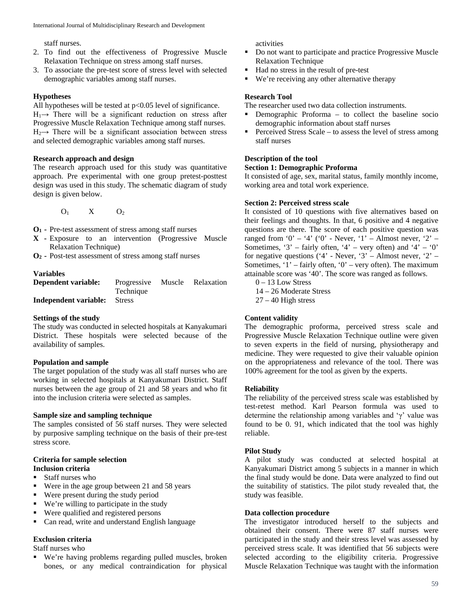staff nurses.

- 2. To find out the effectiveness of Progressive Muscle Relaxation Technique on stress among staff nurses.
- 3. To associate the pre-test score of stress level with selected demographic variables among staff nurses.

# **Hypotheses**

All hypotheses will be tested at  $p<0.05$  level of significance.  $H_1 \rightarrow$  There will be a significant reduction on stress after Progressive Muscle Relaxation Technique among staff nurses.  $H_2 \rightarrow$  There will be a significant association between stress and selected demographic variables among staff nurses.

# **Research approach and design**

The research approach used for this study was quantitative approach. Pre experimental with one group pretest-posttest design was used in this study. The schematic diagram of study design is given below.

 $O_1$  X  $O_2$ 

- **O1 -** Pre-test assessment of stress among staff nurses
- **X -** Exposure to an intervention (Progressive Muscle Relaxation Technique)

**O2 -** Post-test assessment of stress among staff nurses

# **Variables**

**Dependent variable:** Progressive Muscle Relaxation Technique **Independent variable:** Stress

# **Settings of the study**

The study was conducted in selected hospitals at Kanyakumari District. These hospitals were selected because of the availability of samples.

# **Population and sample**

The target population of the study was all staff nurses who are working in selected hospitals at Kanyakumari District. Staff nurses between the age group of 21 and 58 years and who fit into the inclusion criteria were selected as samples.

# **Sample size and sampling technique**

The samples consisted of 56 staff nurses. They were selected by purposive sampling technique on the basis of their pre-test stress score.

# **Criteria for sample selection**

# **Inclusion criteria**

- Staff nurses who
- Were in the age group between 21 and 58 years
- Were present during the study period
- We're willing to participate in the study
- Were qualified and registered persons
- Can read, write and understand English language

# **Exclusion criteria**

Staff nurses who

 We're having problems regarding pulled muscles, broken bones, or any medical contraindication for physical activities

- Do not want to participate and practice Progressive Muscle Relaxation Technique
- Had no stress in the result of pre-test
- We're receiving any other alternative therapy

### **Research Tool**

The researcher used two data collection instruments.

- Demographic Proforma to collect the baseline socio demographic information about staff nurses
- Perceived Stress Scale to assess the level of stress among staff nurses

# **Description of the tool**

### **Section 1: Demographic Proforma**

It consisted of age, sex, marital status, family monthly income, working area and total work experience.

#### **Section 2: Perceived stress scale**

It consisted of 10 questions with five alternatives based on their feelings and thoughts. In that, 6 positive and 4 negative questions are there. The score of each positive question was ranged from '0' – '4' ('0' - Never, '1' – Almost never, '2' – Sometimes, '3' – fairly often, '4' – very often) and '4' – '0' for negative questions ('4' - Never, '3' – Almost never, '2' – Sometimes, ' $1'$  – fairly often, ' $0'$  – very often). The maximum attainable score was '40'. The score was ranged as follows.

 $0 - 13$  Low Stress

- 14 26 Moderate Stress
- $27 40$  High stress

# **Content validity**

The demographic proforma, perceived stress scale and Progressive Muscle Relaxation Technique outline were given to seven experts in the field of nursing, physiotherapy and medicine. They were requested to give their valuable opinion on the appropriateness and relevance of the tool. There was 100% agreement for the tool as given by the experts.

#### **Reliability**

The reliability of the perceived stress scale was established by test-retest method. Karl Pearson formula was used to determine the relationship among variables and 'γ' value was found to be 0. 91, which indicated that the tool was highly reliable.

# **Pilot Study**

A pilot study was conducted at selected hospital at Kanyakumari District among 5 subjects in a manner in which the final study would be done. Data were analyzed to find out the suitability of statistics. The pilot study revealed that, the study was feasible.

# **Data collection procedure**

The investigator introduced herself to the subjects and obtained their consent. There were 87 staff nurses were participated in the study and their stress level was assessed by perceived stress scale. It was identified that 56 subjects were selected according to the eligibility criteria. Progressive Muscle Relaxation Technique was taught with the information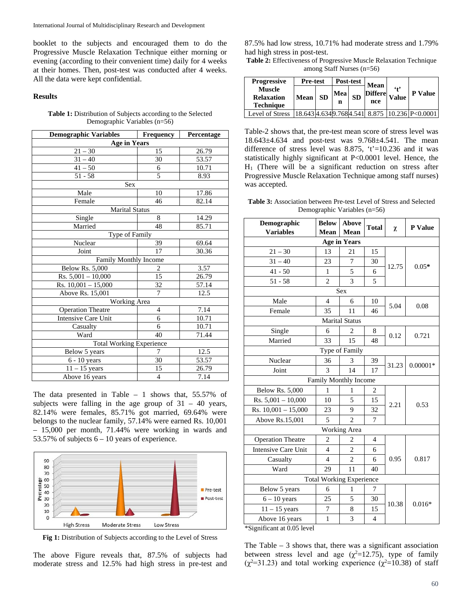booklet to the subjects and encouraged them to do the Progressive Muscle Relaxation Technique either morning or evening (according to their convenient time) daily for 4 weeks at their homes. Then, post-test was conducted after 4 weeks. All the data were kept confidential.

#### **Results**

#### **Table 1:** Distribution of Subjects according to the Selected Demographic Variables (n=56)

| <b>Demographic Variables</b>    | <b>Frequency</b> | Percentage |  |  |  |  |  |
|---------------------------------|------------------|------------|--|--|--|--|--|
| <b>Age in Years</b>             |                  |            |  |  |  |  |  |
| $21 - 30$                       | 15               | 26.79      |  |  |  |  |  |
| $31 - 40$                       | 30               | 53.57      |  |  |  |  |  |
| $41 - 50$                       | 6                | 10.71      |  |  |  |  |  |
| $51 - 58$                       | 5                | 8.93       |  |  |  |  |  |
| Sex                             |                  |            |  |  |  |  |  |
| Male                            | 10               | 17.86      |  |  |  |  |  |
| Female                          | 46               | 82.14      |  |  |  |  |  |
| <b>Marital Status</b>           |                  |            |  |  |  |  |  |
| Single                          | 8                | 14.29      |  |  |  |  |  |
| Married                         | 48               | 85.71      |  |  |  |  |  |
| Type of Family                  |                  |            |  |  |  |  |  |
| Nuclear                         | 39               | 69.64      |  |  |  |  |  |
| Joint                           | 17               | 30.36      |  |  |  |  |  |
| Family Monthly Income           |                  |            |  |  |  |  |  |
| <b>Below Rs. 5,000</b>          | 2                | 3.57       |  |  |  |  |  |
| $Rs. 5,001 - 10,000$            | $\overline{15}$  | 26.79      |  |  |  |  |  |
| Rs. $10,001 - 15,000$           | 32               | 57.14      |  |  |  |  |  |
| Above Rs. $15,001$              | 7                | 12.5       |  |  |  |  |  |
| <b>Working Area</b>             |                  |            |  |  |  |  |  |
| <b>Operation Theatre</b>        | $\overline{4}$   | 7.14       |  |  |  |  |  |
| Intensive Care Unit             | 6                | 10.71      |  |  |  |  |  |
| Casualty                        | 6                | 10.71      |  |  |  |  |  |
| Ward                            | 40               | 71.44      |  |  |  |  |  |
| <b>Total Working Experience</b> |                  |            |  |  |  |  |  |
| Below 5 years                   | 7                | 12.5       |  |  |  |  |  |
| 6 - 10 years                    | 30               | 53.57      |  |  |  |  |  |
| $11 - 15$ years                 | 15               | 26.79      |  |  |  |  |  |
| Above 16 years                  | $\overline{4}$   | 7.14       |  |  |  |  |  |

The data presented in Table  $-1$  shows that, 55.57% of subjects were falling in the age group of  $31 - 40$  years, 82.14% were females, 85.71% got married, 69.64% were belongs to the nuclear family, 57.14% were earned Rs. 10,001 – 15,000 per month, 71.44% were working in wards and 53.57% of subjects  $6 - 10$  years of experience.



**Fig 1:** Distribution of Subjects according to the Level of Stress

The above Figure reveals that, 87.5% of subjects had moderate stress and 12.5% had high stress in pre-test and

87.5% had low stress, 10.71% had moderate stress and 1.79% had high stress in post-test.

**Table 2:** Effectiveness of Progressive Muscle Relaxation Technique among Staff Nurses (n=56)

| <b>Progressive</b>                                     | <b>Pre-test</b> |           | Post-test |           | <b>Mean</b>           |                         |                                                 |
|--------------------------------------------------------|-----------------|-----------|-----------|-----------|-----------------------|-------------------------|-------------------------------------------------|
| <b>Muscle</b><br><b>Relaxation</b><br><b>Technique</b> | Mean            | <b>SD</b> | Mea<br>n  | <b>SD</b> | <b>Differe</b><br>nce | $6 + 9$<br><b>Value</b> | <b>P</b> Value                                  |
| Level of Stress                                        |                 |           |           |           |                       |                         | 18.643 4.634 9.768 4.541 8.875 10.236 P< 0.0001 |

Table-2 shows that, the pre-test mean score of stress level was 18.643±4.634 and post-test was 9.768±4.541. The mean difference of stress level was 8.875,  $t'=10.236$  and it was statistically highly significant at P<0.0001 level. Hence, the  $H<sub>1</sub>$  (There will be a significant reduction on stress after Progressive Muscle Relaxation Technique among staff nurses) was accepted.

| <b>Table 3:</b> Association between Pre-test Level of Stress and Selected |  |
|---------------------------------------------------------------------------|--|
| Demographic Variables $(n=56)$                                            |  |

| Demographic<br><b>Variables</b> | <b>Below</b><br>Mean | <b>Above</b><br><b>Mean</b> | <b>Total</b>   | χ     | P Value    |  |  |  |
|---------------------------------|----------------------|-----------------------------|----------------|-------|------------|--|--|--|
| <b>Age in Years</b>             |                      |                             |                |       |            |  |  |  |
| $21 - 30$                       | 13                   | 21                          | 15             | 12.75 | $0.05*$    |  |  |  |
| $31 - 40$                       | 23                   | 7                           | 30             |       |            |  |  |  |
| $41 - 50$                       | 1                    | 5                           | 6              |       |            |  |  |  |
| $51 - 58$                       | $\overline{c}$       | 3                           | 5              |       |            |  |  |  |
| <b>Sex</b>                      |                      |                             |                |       |            |  |  |  |
| Male                            | $\overline{4}$       | 6                           | 10             | 5.04  | 0.08       |  |  |  |
| Female                          | 35                   | 11                          | 46             |       |            |  |  |  |
| <b>Marital Status</b>           |                      |                             |                |       |            |  |  |  |
| Single                          | 6                    | 2                           | 8              | 0.12  | 0.721      |  |  |  |
| Married                         | 33                   | 15                          | 48             |       |            |  |  |  |
| Type of Family                  |                      |                             |                |       |            |  |  |  |
| Nuclear                         | 36                   | 3                           | 39             | 31.23 | $0.00001*$ |  |  |  |
| Joint                           | $\mathcal{F}$        | 14                          | 17             |       |            |  |  |  |
| Family Monthly Income           |                      |                             |                |       |            |  |  |  |
| <b>Below Rs. 5,000</b>          | 1                    | 1                           | $\overline{c}$ | 2.21  | 0.53       |  |  |  |
| Rs. $5,001 - 10,000$            | 10                   | 5                           | 15             |       |            |  |  |  |
| Rs. 10,001 - 15,000             | 23                   | 9                           | 32             |       |            |  |  |  |
| Above Rs.15,001                 | 5                    | $\mathfrak{D}$              | $\overline{7}$ |       |            |  |  |  |
|                                 | Working Area         |                             |                |       |            |  |  |  |
| <b>Operation Theatre</b>        | $\overline{c}$       | $\overline{2}$              | 4              |       | 0.817      |  |  |  |
| <b>Intensive Care Unit</b>      | $\overline{4}$       | $\overline{c}$              | 6              | 0.95  |            |  |  |  |
| Casualty                        | $\overline{4}$       | $\overline{c}$              | 6              |       |            |  |  |  |
| Ward                            | 29                   | 11                          | 40             |       |            |  |  |  |
| <b>Total Working Experience</b> |                      |                             |                |       |            |  |  |  |
| Below 5 years                   | 6                    | 1                           | 7              | 10.38 | $0.016*$   |  |  |  |
| $6 - 10$ years                  | 25                   | 5                           | 30             |       |            |  |  |  |
| $11 - 15$ years                 | $\overline{7}$       | 8                           | 15             |       |            |  |  |  |
| Above 16 years                  | $\mathbf{1}$         | $\overline{3}$              | $\overline{4}$ |       |            |  |  |  |

\*Significant at 0.05 level

The Table  $-3$  shows that, there was a significant association between stress level and age ( $\chi^2$ =12.75), type of family  $(\chi^2=31.23)$  and total working experience  $(\chi^2=10.38)$  of staff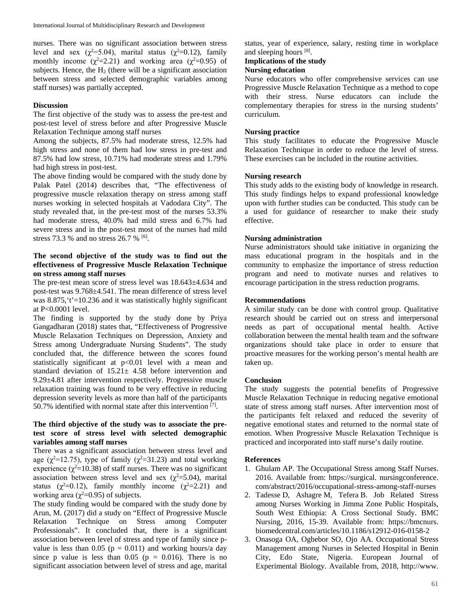nurses. There was no significant association between stress level and sex ( $\chi^2$ =5.04), marital status ( $\chi^2$ =0.12), family monthly income ( $\chi^2$ =2.21) and working area ( $\chi^2$ =0.95) of subjects. Hence, the  $H_2$  (there will be a significant association between stress and selected demographic variables among staff nurses) was partially accepted.

#### **Discussion**

The first objective of the study was to assess the pre-test and post-test level of stress before and after Progressive Muscle Relaxation Technique among staff nurses

Among the subjects, 87.5% had moderate stress, 12.5% had high stress and none of them had low stress in pre-test and 87.5% had low stress, 10.71% had moderate stress and 1.79% had high stress in post-test.

The above finding would be compared with the study done by Palak Patel (2014) describes that, "The effectiveness of progressive muscle relaxation therapy on stress among staff nurses working in selected hospitals at Vadodara City". The study revealed that, in the pre-test most of the nurses 53.3% had moderate stress, 40.0% had mild stress and 6.7% had severe stress and in the post-test most of the nurses had mild stress 73.3 % and no stress 26.7 %  $^{[6]}$ .

#### **The second objective of the study was to find out the effectiveness of Progressive Muscle Relaxation Technique on stress among staff nurses**

The pre-test mean score of stress level was 18.643±4.634 and post-test was 9.768±4.541. The mean difference of stress level was  $8.875$ , 't'=10.236 and it was statistically highly significant at P<0.0001 level.

The finding is supported by the study done by Priya Gangadharan (2018) states that, "Effectiveness of Progressive Muscle Relaxation Techniques on Depression, Anxiety and Stress among Undergraduate Nursing Students". The study concluded that, the difference between the scores found statistically significant at p<0.01 level with a mean and standard deviation of  $15.21 \pm 4.58$  before intervention and 9.29±4.81 after intervention respectively. Progressive muscle relaxation training was found to be very effective in reducing depression severity levels as more than half of the participants 50.7% identified with normal state after this intervention  $[7]$ .

### **The third objective of the study was to associate the pretest score of stress level with selected demographic variables among staff nurses**

There was a significant association between stress level and age ( $\chi^2$ =12.75), type of family ( $\chi^2$ =31.23) and total working experience  $(\chi^2=10.38)$  of staff nurses. There was no significant association between stress level and sex  $(\chi^2 = 5.04)$ , marital status ( $\chi^2$ =0.12), family monthly income ( $\chi^2$ =2.21) and working area ( $\chi^2$ =0.95) of subjects.

The study finding would be compared with the study done by Arun, M. (2017) did a study on "Effect of Progressive Muscle Relaxation Technique on Stress among Computer Professionals". It concluded that, there is a significant association between level of stress and type of family since pvalue is less than 0.05 ( $p = 0.011$ ) and working hours/a day since p value is less than  $0.05$  (p = 0.016). There is no significant association between level of stress and age, marital status, year of experience, salary, resting time in workplace and sleeping hours [8].

**Implications of the study**

#### **Nursing education**

Nurse educators who offer comprehensive services can use Progressive Muscle Relaxation Technique as a method to cope with their stress. Nurse educators can include the complementary therapies for stress in the nursing students' curriculum.

#### **Nursing practice**

This study facilitates to educate the Progressive Muscle Relaxation Technique in order to reduce the level of stress. These exercises can be included in the routine activities.

#### **Nursing research**

This study adds to the existing body of knowledge in research. This study findings helps to expand professional knowledge upon with further studies can be conducted. This study can be a used for guidance of researcher to make their study effective.

#### **Nursing administration**

Nurse administrators should take initiative in organizing the mass educational program in the hospitals and in the community to emphasize the importance of stress reduction program and need to motivate nurses and relatives to encourage participation in the stress reduction programs.

#### **Recommendations**

A similar study can be done with control group. Qualitative research should be carried out on stress and interpersonal needs as part of occupational mental health. Active collaboration between the mental health team and the software organizations should take place in order to ensure that proactive measures for the working person's mental health are taken up.

#### **Conclusion**

The study suggests the potential benefits of Progressive Muscle Relaxation Technique in reducing negative emotional state of stress among staff nurses. After intervention most of the participants felt relaxed and reduced the severity of negative emotional states and returned to the normal state of emotion. When Progressive Muscle Relaxation Technique is practiced and incorporated into staff nurse's daily routine.

#### **References**

- 1. Ghulam AP. The Occupational Stress among Staff Nurses. 2016. Available from: https://surgical. nursingconference. com/abstract/2016/occupational-stress-among-staff-nurses
- 2. Tadesse D, Ashagre M, Tefera B. Job Related Stress among Nurses Working in Jimma Zone Public Hospitals, South West Ethiopia: A Cross Sectional Study. BMC Nursing, 2016, 15-39. Available from: https://bmcnurs. biomedcentral.com/articles/10.1186/s12912-016-0158-2
- 3. Onasoga OA, Ogbebor SO, Ojo AA. Occupational Stress Management among Nurses in Selected Hospital in Benin City, Edo State, Nigeria. European Journal of Experimental Biology. Available from, 2018, http://www.